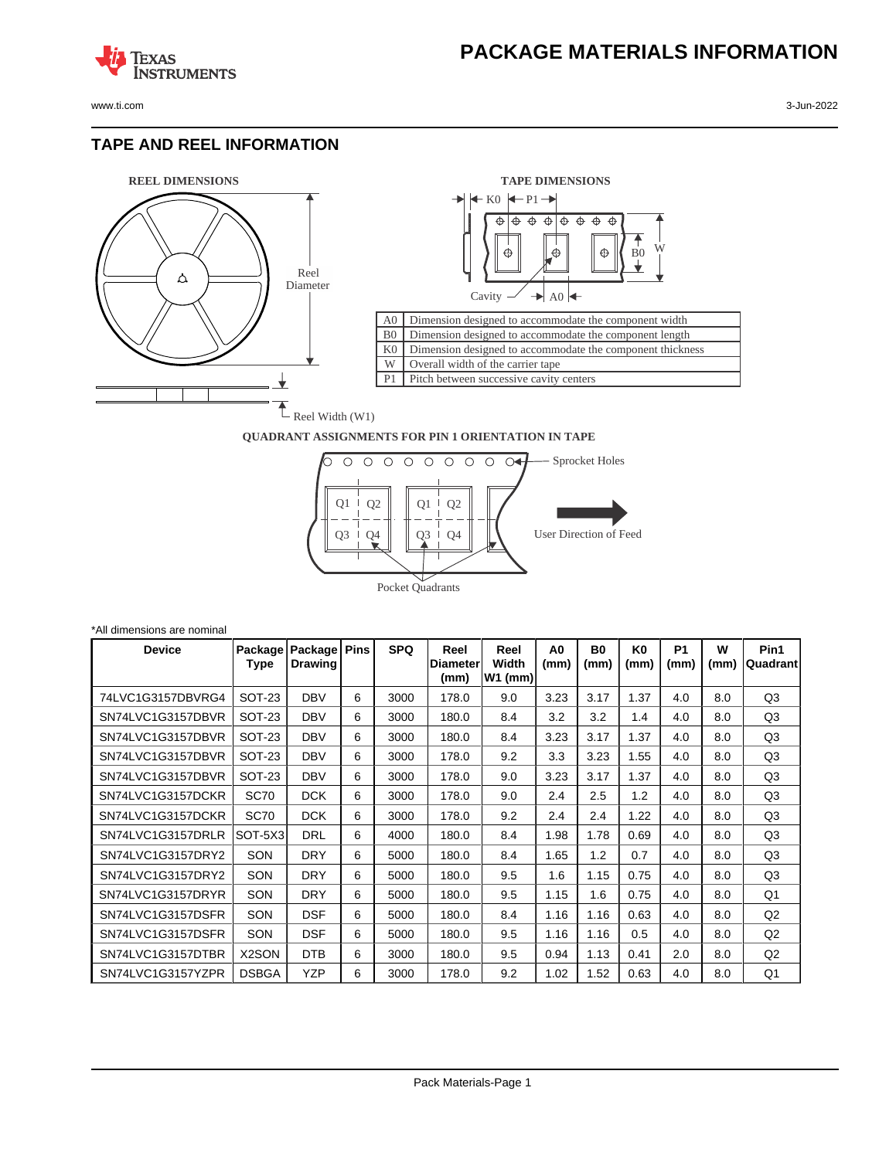www.ti.com 3-Jun-2022

**TEXAS** 

## **TAPE AND REEL INFORMATION**

**ISTRUMENTS** 





## **QUADRANT ASSIGNMENTS FOR PIN 1 ORIENTATION IN TAPE**



| *All dimensions are nominal |                 |                           |      |            |                                 |                            |                        |                   |                        |                   |           |                  |
|-----------------------------|-----------------|---------------------------|------|------------|---------------------------------|----------------------------|------------------------|-------------------|------------------------|-------------------|-----------|------------------|
| <b>Device</b>               | Package<br>Type | Package<br><b>Drawing</b> | Pins | <b>SPQ</b> | Reel<br><b>Diameter</b><br>(mm) | Reel<br>Width<br>$W1$ (mm) | A <sub>0</sub><br>(mm) | <b>B0</b><br>(mm) | K <sub>0</sub><br>(mm) | <b>P1</b><br>(mm) | W<br>(mm) | Pin1<br>Quadrant |
| 74LVC1G3157DBVRG4           | SOT-23          | <b>DBV</b>                | 6    | 3000       | 178.0                           | 9.0                        | 3.23                   | 3.17              | 1.37                   | 4.0               | 8.0       | Q3               |
| SN74LVC1G3157DBVR           | <b>SOT-23</b>   | <b>DBV</b>                | 6    | 3000       | 180.0                           | 8.4                        | 3.2                    | 3.2               | 1.4                    | 4.0               | 8.0       | Q3               |
| SN74LVC1G3157DBVR           | <b>SOT-23</b>   | <b>DBV</b>                | 6    | 3000       | 180.0                           | 8.4                        | 3.23                   | 3.17              | 1.37                   | 4.0               | 8.0       | Q3               |
| SN74LVC1G3157DBVR           | SOT-23          | <b>DBV</b>                | 6    | 3000       | 178.0                           | 9.2                        | 3.3                    | 3.23              | 1.55                   | 4.0               | 8.0       | Q3               |
| SN74LVC1G3157DBVR           | <b>SOT-23</b>   | <b>DBV</b>                | 6    | 3000       | 178.0                           | 9.0                        | 3.23                   | 3.17              | 1.37                   | 4.0               | 8.0       | Q3               |
| SN74LVC1G3157DCKR           | <b>SC70</b>     | <b>DCK</b>                | 6    | 3000       | 178.0                           | 9.0                        | 2.4                    | 2.5               | 1.2                    | 4.0               | 8.0       | Q3               |
| SN74LVC1G3157DCKR           | <b>SC70</b>     | <b>DCK</b>                | 6    | 3000       | 178.0                           | 9.2                        | 2.4                    | 2.4               | 1.22                   | 4.0               | 8.0       | Q3               |
| SN74LVC1G3157DRLR           | SOT-5X3         | <b>DRL</b>                | 6    | 4000       | 180.0                           | 8.4                        | 1.98                   | 1.78              | 0.69                   | 4.0               | 8.0       | Q3               |
| SN74LVC1G3157DRY2           | SON             | <b>DRY</b>                | 6    | 5000       | 180.0                           | 8.4                        | 1.65                   | 1.2               | 0.7                    | 4.0               | 8.0       | Q3               |
| SN74LVC1G3157DRY2           | SON             | <b>DRY</b>                | 6    | 5000       | 180.0                           | 9.5                        | 1.6                    | 1.15              | 0.75                   | 4.0               | 8.0       | Q3               |
| SN74LVC1G3157DRYR           | SON             | <b>DRY</b>                | 6    | 5000       | 180.0                           | 9.5                        | 1.15                   | 1.6               | 0.75                   | 4.0               | 8.0       | Q1               |
| SN74LVC1G3157DSFR           | SON             | <b>DSF</b>                | 6    | 5000       | 180.0                           | 8.4                        | 1.16                   | 1.16              | 0.63                   | 4.0               | 8.0       | Q2               |
| SN74LVC1G3157DSFR           | <b>SON</b>      | <b>DSF</b>                | 6    | 5000       | 180.0                           | 9.5                        | 1.16                   | 1.16              | 0.5                    | 4.0               | 8.0       | Q <sub>2</sub>   |
| SN74LVC1G3157DTBR           | X2SON           | <b>DTB</b>                | 6    | 3000       | 180.0                           | 9.5                        | 0.94                   | 1.13              | 0.41                   | 2.0               | 8.0       | Q <sub>2</sub>   |
| SN74LVC1G3157YZPR           | <b>DSBGA</b>    | <b>YZP</b>                | 6    | 3000       | 178.0                           | 9.2                        | 1.02                   | 1.52              | 0.63                   | 4.0               | 8.0       | Q1               |